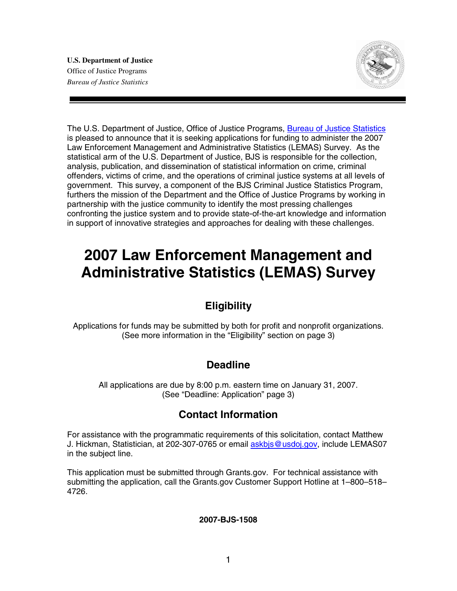**U.S. Department of Justice**  Office of Justice Programs *Bureau of Justice Statistics* 



The U.S. Department of Justice, Office of Justice Programs, Bureau of Justice Statistics is pleased to announce that it is seeking applications for funding to administer the 2007 Law Enforcement Management and Administrative Statistics (LEMAS) Survey. As the statistical arm of the U.S. Department of Justice, BJS is responsible for the collection, analysis, publication, and dissemination of statistical information on crime, criminal offenders, victims of crime, and the operations of criminal justice systems at all levels of government. This survey, a component of the BJS Criminal Justice Statistics Program, furthers the mission of the Department and the Office of Justice Programs by working in partnership with the justice community to identify the most pressing challenges confronting the justice system and to provide state-of-the-art knowledge and information in support of innovative strategies and approaches for dealing with these challenges.

# **2007 Law Enforcement Management and Administrative Statistics (LEMAS) Survey**

### **Eligibility**

Applications for funds may be submitted by both for profit and nonprofit organizations. (See more information in the "Eligibility" section on page 3)

## **Deadline**

All applications are due by 8:00 p.m. eastern time on January 31, 2007. (See "Deadline: Application" page 3)

## **Contact Information**

For assistance with the programmatic requirements of this solicitation, contact Matthew J. Hickman, Statistician, at 202-307-0765 or email askbjs@usdoj.gov, include LEMAS07 in the subject line.

This application must be submitted through Grants.gov*.* For technical assistance with submitting the application, call the Grants.gov Customer Support Hotline at 1–800–518– 4726.

**2007-BJS-1508**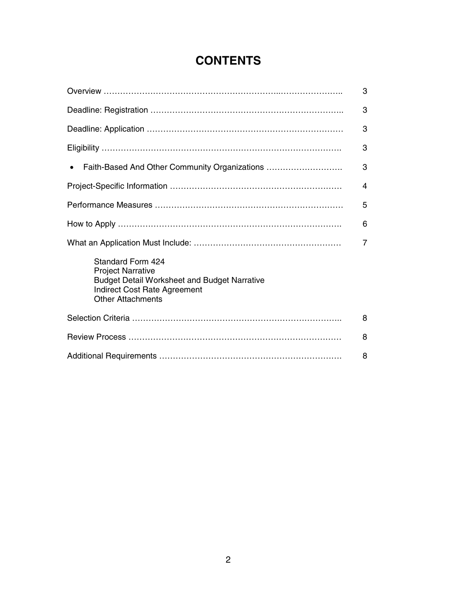# **CONTENTS**

|                                                                                                                                                                         | 3 |  |
|-------------------------------------------------------------------------------------------------------------------------------------------------------------------------|---|--|
|                                                                                                                                                                         | 3 |  |
|                                                                                                                                                                         | 3 |  |
|                                                                                                                                                                         | 3 |  |
| Faith-Based And Other Community Organizations<br>$\bullet$                                                                                                              | 3 |  |
|                                                                                                                                                                         | 4 |  |
|                                                                                                                                                                         |   |  |
|                                                                                                                                                                         | 6 |  |
|                                                                                                                                                                         | 7 |  |
| Standard Form 424<br><b>Project Narrative</b><br><b>Budget Detail Worksheet and Budget Narrative</b><br><b>Indirect Cost Rate Agreement</b><br><b>Other Attachments</b> |   |  |
|                                                                                                                                                                         | 8 |  |
|                                                                                                                                                                         | 8 |  |
|                                                                                                                                                                         |   |  |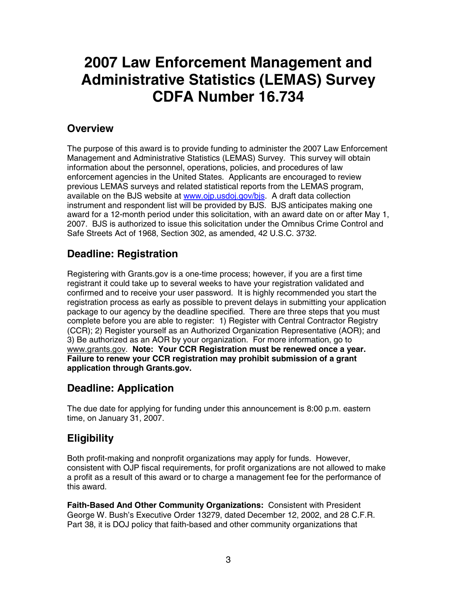# **2007 Law Enforcement Management and Administrative Statistics (LEMAS) Survey CDFA Number 16.734**

### **Overview**

The purpose of this award is to provide funding to administer the 2007 Law Enforcement Management and Administrative Statistics (LEMAS) Survey. This survey will obtain information about the personnel, operations, policies, and procedures of law enforcement agencies in the United States. Applicants are encouraged to review previous LEMAS surveys and related statistical reports from the LEMAS program, available on the BJS website at www.ojp.usdoj.gov/bjs. A draft data collection instrument and respondent list will be provided by BJS. BJS anticipates making one award for a 12-month period under this solicitation, with an award date on or after May 1, 2007. BJS is authorized to issue this solicitation under the Omnibus Crime Control and Safe Streets Act of 1968, Section 302, as amended, 42 U.S.C. 3732.

# **Deadline: Registration**

Registering with Grants.gov is a one-time process; however, if you are a first time registrant it could take up to several weeks to have your registration validated and confirmed and to receive your user password. It is highly recommended you start the registration process as early as possible to prevent delays in submitting your application package to our agency by the deadline specified. There are three steps that you must complete before you are able to register: 1) Register with Central Contractor Registry (CCR); 2) Register yourself as an Authorized Organization Representative (AOR); and 3) Be authorized as an AOR by your organization. For more information, go to www.grants.gov. **Note: Your CCR Registration must be renewed once a year. Failure to renew your CCR registration may prohibit submission of a grant application through Grants.gov.** 

## **Deadline: Application**

The due date for applying for funding under this announcement is 8:00 p.m. eastern time, on January 31, 2007.

# **Eligibility**

Both profit-making and nonprofit organizations may apply for funds. However, consistent with OJP fiscal requirements, for profit organizations are not allowed to make a profit as a result of this award or to charge a management fee for the performance of this award.

**Faith-Based And Other Community Organizations:** Consistent with President George W. Bush's Executive Order 13279, dated December 12, 2002, and 28 C.F.R. Part 38, it is DOJ policy that faith-based and other community organizations that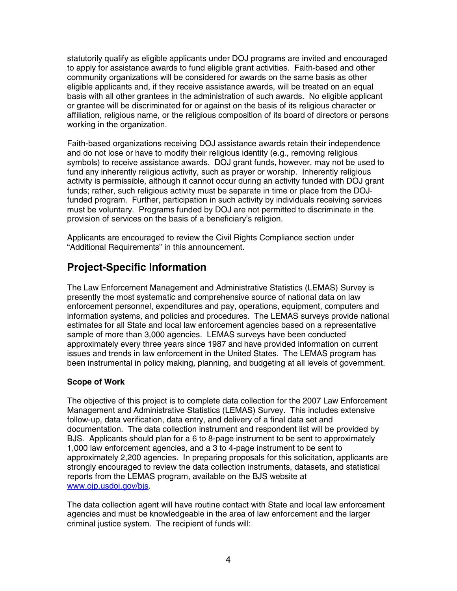statutorily qualify as eligible applicants under DOJ programs are invited and encouraged to apply for assistance awards to fund eligible grant activities. Faith-based and other community organizations will be considered for awards on the same basis as other eligible applicants and, if they receive assistance awards, will be treated on an equal basis with all other grantees in the administration of such awards. No eligible applicant or grantee will be discriminated for or against on the basis of its religious character or affiliation, religious name, or the religious composition of its board of directors or persons working in the organization.

Faith-based organizations receiving DOJ assistance awards retain their independence and do not lose or have to modify their religious identity (e.g., removing religious symbols) to receive assistance awards. DOJ grant funds, however, may not be used to fund any inherently religious activity, such as prayer or worship. Inherently religious activity is permissible, although it cannot occur during an activity funded with DOJ grant funds; rather, such religious activity must be separate in time or place from the DOJfunded program. Further, participation in such activity by individuals receiving services must be voluntary. Programs funded by DOJ are not permitted to discriminate in the provision of services on the basis of a beneficiary's religion.

Applicants are encouraged to review the Civil Rights Compliance section under "Additional Requirements" in this announcement.

## **Project-Specific Information**

The Law Enforcement Management and Administrative Statistics (LEMAS) Survey is presently the most systematic and comprehensive source of national data on law enforcement personnel, expenditures and pay, operations, equipment, computers and information systems, and policies and procedures. The LEMAS surveys provide national estimates for all State and local law enforcement agencies based on a representative sample of more than 3,000 agencies. LEMAS surveys have been conducted approximately every three years since 1987 and have provided information on current issues and trends in law enforcement in the United States. The LEMAS program has been instrumental in policy making, planning, and budgeting at all levels of government.

#### **Scope of Work**

The objective of this project is to complete data collection for the 2007 Law Enforcement Management and Administrative Statistics (LEMAS) Survey. This includes extensive follow-up, data verification, data entry, and delivery of a final data set and documentation. The data collection instrument and respondent list will be provided by BJS. Applicants should plan for a 6 to 8-page instrument to be sent to approximately 1,000 law enforcement agencies, and a 3 to 4-page instrument to be sent to approximately 2,200 agencies. In preparing proposals for this solicitation, applicants are strongly encouraged to review the data collection instruments, datasets, and statistical reports from the LEMAS program, available on the BJS website at www.ojp.usdoj.gov/bjs.

The data collection agent will have routine contact with State and local law enforcement agencies and must be knowledgeable in the area of law enforcement and the larger criminal justice system. The recipient of funds will: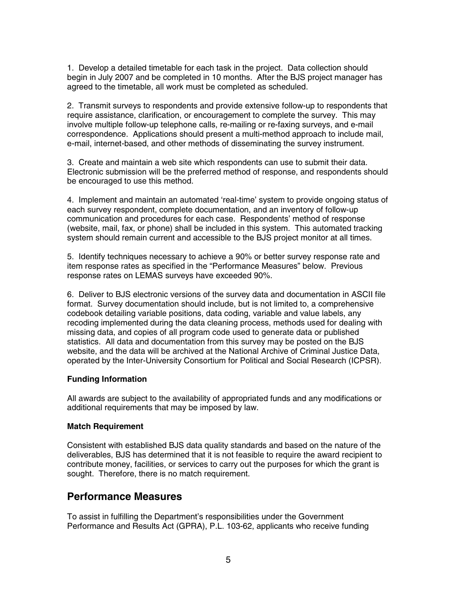1. Develop a detailed timetable for each task in the project. Data collection should begin in July 2007 and be completed in 10 months. After the BJS project manager has agreed to the timetable, all work must be completed as scheduled.

2. Transmit surveys to respondents and provide extensive follow-up to respondents that require assistance, clarification, or encouragement to complete the survey. This may involve multiple follow-up telephone calls, re-mailing or re-faxing surveys, and e-mail correspondence. Applications should present a multi-method approach to include mail, e-mail, internet-based, and other methods of disseminating the survey instrument.

3. Create and maintain a web site which respondents can use to submit their data. Electronic submission will be the preferred method of response, and respondents should be encouraged to use this method.

4. Implement and maintain an automated 'real-time' system to provide ongoing status of each survey respondent, complete documentation, and an inventory of follow-up communication and procedures for each case. Respondents' method of response (website, mail, fax, or phone) shall be included in this system. This automated tracking system should remain current and accessible to the BJS project monitor at all times.

5. Identify techniques necessary to achieve a 90% or better survey response rate and item response rates as specified in the "Performance Measures" below. Previous response rates on LEMAS surveys have exceeded 90%.

6. Deliver to BJS electronic versions of the survey data and documentation in ASCII file format. Survey documentation should include, but is not limited to, a comprehensive codebook detailing variable positions, data coding, variable and value labels, any recoding implemented during the data cleaning process, methods used for dealing with missing data, and copies of all program code used to generate data or published statistics. All data and documentation from this survey may be posted on the BJS website, and the data will be archived at the National Archive of Criminal Justice Data, operated by the Inter-University Consortium for Political and Social Research (ICPSR).

#### **Funding Information**

All awards are subject to the availability of appropriated funds and any modifications or additional requirements that may be imposed by law.

#### **Match Requirement**

Consistent with established BJS data quality standards and based on the nature of the deliverables, BJS has determined that it is not feasible to require the award recipient to contribute money, facilities, or services to carry out the purposes for which the grant is sought. Therefore, there is no match requirement.

#### **Performance Measures**

To assist in fulfilling the Department's responsibilities under the Government Performance and Results Act (GPRA), P.L. 103-62, applicants who receive funding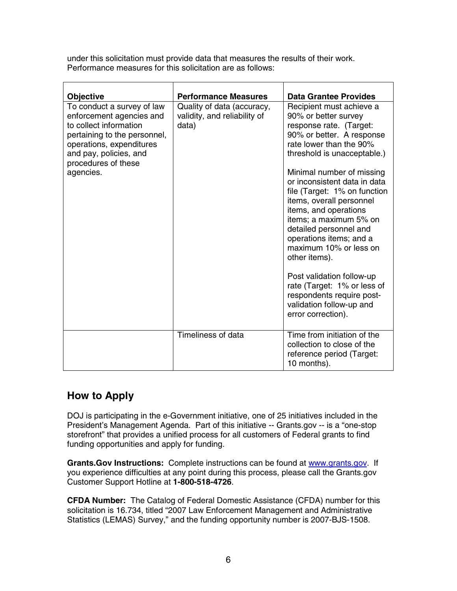under this solicitation must provide data that measures the results of their work. Performance measures for this solicitation are as follows:

| <b>Objective</b>                                                                                                                                                                                           | <b>Performance Measures</b>                                         | <b>Data Grantee Provides</b>                                                                                                                                                                                                                                                                                                                                                                                                                                                                                                                                                              |
|------------------------------------------------------------------------------------------------------------------------------------------------------------------------------------------------------------|---------------------------------------------------------------------|-------------------------------------------------------------------------------------------------------------------------------------------------------------------------------------------------------------------------------------------------------------------------------------------------------------------------------------------------------------------------------------------------------------------------------------------------------------------------------------------------------------------------------------------------------------------------------------------|
| To conduct a survey of law<br>enforcement agencies and<br>to collect information<br>pertaining to the personnel,<br>operations, expenditures<br>and pay, policies, and<br>procedures of these<br>agencies. | Quality of data (accuracy,<br>validity, and reliability of<br>data) | Recipient must achieve a<br>90% or better survey<br>response rate. (Target:<br>90% or better. A response<br>rate lower than the 90%<br>threshold is unacceptable.)<br>Minimal number of missing<br>or inconsistent data in data<br>file (Target: 1% on function<br>items, overall personnel<br>items, and operations<br>items; a maximum 5% on<br>detailed personnel and<br>operations items; and a<br>maximum 10% or less on<br>other items).<br>Post validation follow-up<br>rate (Target: 1% or less of<br>respondents require post-<br>validation follow-up and<br>error correction). |
|                                                                                                                                                                                                            | Timeliness of data                                                  | Time from initiation of the<br>collection to close of the<br>reference period (Target:<br>10 months).                                                                                                                                                                                                                                                                                                                                                                                                                                                                                     |

## **How to Apply**

DOJ is participating in the e-Government initiative, one of 25 initiatives included in the President's Management Agenda. Part of this initiative -- Grants.gov -- is a "one-stop storefront" that provides a unified process for all customers of Federal grants to find funding opportunities and apply for funding.

**Grants.Gov Instructions:** Complete instructions can be found at www.grants.gov. If you experience difficulties at any point during this process, please call the Grants.gov Customer Support Hotline at **1-800-518-4726**.

**CFDA Number:** The Catalog of Federal Domestic Assistance (CFDA) number for this solicitation is 16.734, titled "2007 Law Enforcement Management and Administrative Statistics (LEMAS) Survey," and the funding opportunity number is 2007-BJS-1508.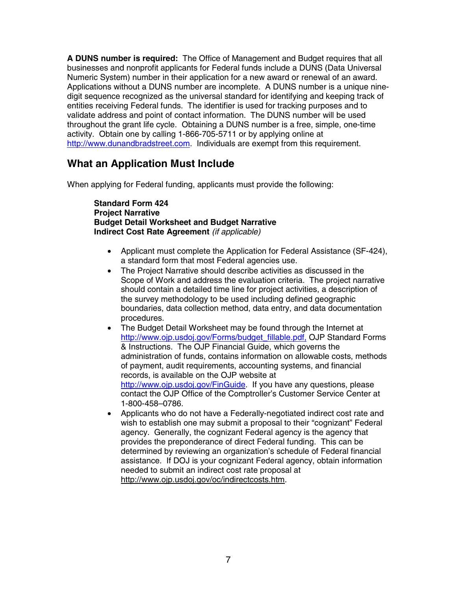**A DUNS number is required:** The Office of Management and Budget requires that all businesses and nonprofit applicants for Federal funds include a DUNS (Data Universal Numeric System) number in their application for a new award or renewal of an award. Applications without a DUNS number are incomplete. A DUNS number is a unique ninedigit sequence recognized as the universal standard for identifying and keeping track of entities receiving Federal funds. The identifier is used for tracking purposes and to validate address and point of contact information. The DUNS number will be used throughout the grant life cycle. Obtaining a DUNS number is a free, simple, one-time activity. Obtain one by calling 1-866-705-5711 or by applying online at http://www.dunandbradstreet.com. Individuals are exempt from this requirement.

### **What an Application Must Include**

When applying for Federal funding, applicants must provide the following:

**Standard Form 424 Project Narrative Budget Detail Worksheet and Budget Narrative Indirect Cost Rate Agreement** *(if applicable)* 

- Applicant must complete the Application for Federal Assistance (SF-424), a standard form that most Federal agencies use.
- The Project Narrative should describe activities as discussed in the Scope of Work and address the evaluation criteria. The project narrative should contain a detailed time line for project activities, a description of the survey methodology to be used including defined geographic boundaries, data collection method, data entry, and data documentation procedures.
- The Budget Detail Worksheet may be found through the Internet at http://www.ojp.usdoj.gov/Forms/budget\_fillable.pdf, OJP Standard Forms & Instructions. The OJP Financial Guide, which governs the administration of funds, contains information on allowable costs, methods of payment, audit requirements, accounting systems, and financial records, is available on the OJP website at http://www.ojp.usdoj.gov/FinGuide. If you have any questions, please contact the OJP Office of the Comptroller's Customer Service Center at 1-800-458–0786.
- Applicants who do not have a Federally-negotiated indirect cost rate and wish to establish one may submit a proposal to their "cognizant" Federal agency. Generally, the cognizant Federal agency is the agency that provides the preponderance of direct Federal funding. This can be determined by reviewing an organization's schedule of Federal financial assistance. If DOJ is your cognizant Federal agency, obtain information needed to submit an indirect cost rate proposal at http://www.ojp.usdoj.gov/oc/indirectcosts.htm.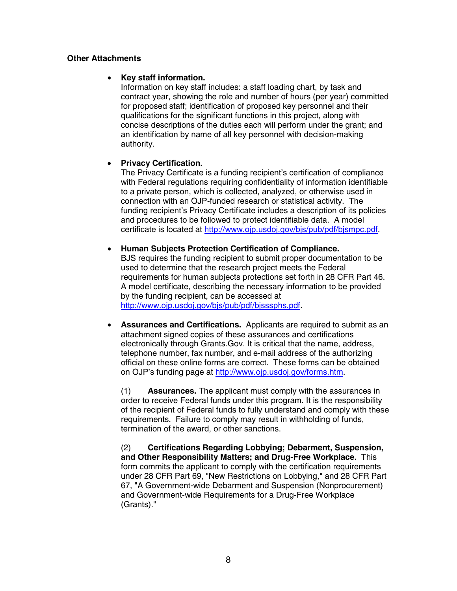#### **Other Attachments**

#### • **Key staff information.**

Information on key staff includes: a staff loading chart, by task and contract year, showing the role and number of hours (per year) committed for proposed staff; identification of proposed key personnel and their qualifications for the significant functions in this project, along with concise descriptions of the duties each will perform under the grant; and an identification by name of all key personnel with decision-making authority.

#### • **Privacy Certification.**

The Privacy Certificate is a funding recipient's certification of compliance with Federal regulations requiring confidentiality of information identifiable to a private person, which is collected, analyzed, or otherwise used in connection with an OJP-funded research or statistical activity. The funding recipient's Privacy Certificate includes a description of its policies and procedures to be followed to protect identifiable data. A model certificate is located at http://www.ojp.usdoj.gov/bjs/pub/pdf/bjsmpc.pdf.

#### • **Human Subjects Protection Certification of Compliance.**

BJS requires the funding recipient to submit proper documentation to be used to determine that the research project meets the Federal requirements for human subjects protections set forth in 28 CFR Part 46. A model certificate, describing the necessary information to be provided by the funding recipient, can be accessed at http://www.ojp.usdoj.gov/bjs/pub/pdf/bjsssphs.pdf.

• **Assurances and Certifications.** Applicants are required to submit as an attachment signed copies of these assurances and certifications electronically through Grants.Gov. It is critical that the name, address, telephone number, fax number, and e-mail address of the authorizing official on these online forms are correct.These forms can be obtained on OJP's funding page at http://www.ojp.usdoj.gov/forms.htm.

(1) **Assurances.** The applicant must comply with the assurances in order to receive Federal funds under this program. It is the responsibility of the recipient of Federal funds to fully understand and comply with these requirements. Failure to comply may result in withholding of funds, termination of the award, or other sanctions.

(2) **Certifications Regarding Lobbying; Debarment, Suspension, and Other Responsibility Matters; and Drug-Free Workplace.** This form commits the applicant to comply with the certification requirements under 28 CFR Part 69, "New Restrictions on Lobbying," and 28 CFR Part 67, "A Government-wide Debarment and Suspension (Nonprocurement) and Government-wide Requirements for a Drug-Free Workplace (Grants)."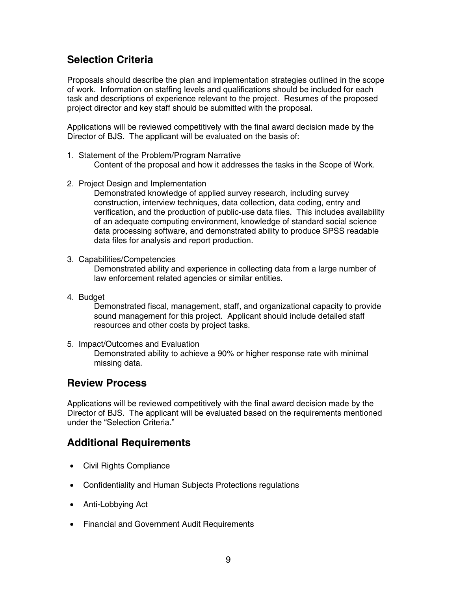### **Selection Criteria**

Proposals should describe the plan and implementation strategies outlined in the scope of work. Information on staffing levels and qualifications should be included for each task and descriptions of experience relevant to the project. Resumes of the proposed project director and key staff should be submitted with the proposal.

Applications will be reviewed competitively with the final award decision made by the Director of BJS. The applicant will be evaluated on the basis of:

- 1. Statement of the Problem/Program Narrative Content of the proposal and how it addresses the tasks in the Scope of Work.
- 2. Project Design and Implementation

Demonstrated knowledge of applied survey research, including survey construction, interview techniques, data collection, data coding, entry and verification, and the production of public-use data files. This includes availability of an adequate computing environment, knowledge of standard social science data processing software, and demonstrated ability to produce SPSS readable data files for analysis and report production.

3. Capabilities/Competencies

Demonstrated ability and experience in collecting data from a large number of law enforcement related agencies or similar entities.

4. Budget

Demonstrated fiscal, management, staff, and organizational capacity to provide sound management for this project. Applicant should include detailed staff resources and other costs by project tasks.

5. Impact/Outcomes and Evaluation

Demonstrated ability to achieve a 90% or higher response rate with minimal missing data.

### **Review Process**

Applications will be reviewed competitively with the final award decision made by the Director of BJS. The applicant will be evaluated based on the requirements mentioned under the "Selection Criteria*.*"

### **Additional Requirements**

- Civil Rights Compliance
- Confidentiality and Human Subjects Protections regulations
- Anti-Lobbying Act
- Financial and Government Audit Requirements